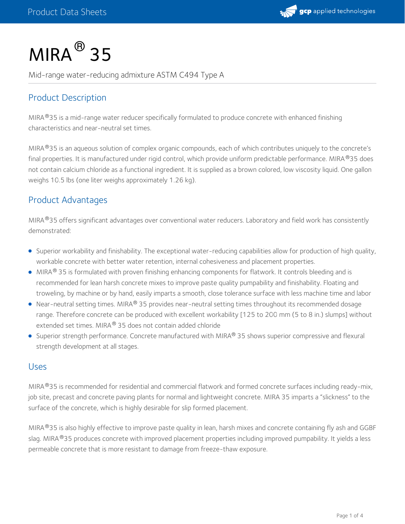

# $MIRA<sup>®</sup>$  35

Mid-range water-reducing admixture ASTM C494 Type A

### Product Description

MIRA®35 is a mid-range water reducer specifically formulated to produce concrete with enhanced finishing characteristics and near-neutral set times.

MIRA®35 is an aqueous solution of complex organic compounds, each of which contributes uniquely to the concrete's final properties. It is manufactured under rigid control, which provide uniform predictable performance. MIRA®35 does not contain calcium chloride as a functional ingredient. It is supplied as a brown colored, low viscosity liquid. One gallon weighs 10.5 lbs (one liter weighs approximately 1.26 kg).

#### Product Advantages

MIRA®35 offers significant advantages over conventional water reducers. Laboratory and field work has consistently demonstrated:

- Superior workability and finishability. The exceptional water-reducing capabilities allow for production of high quality, workable concrete with better water retention, internal cohesiveness and placement properties.
- MIRA $^{\circledR}$  35 is formulated with proven finishing enhancing components for flatwork. It controls bleeding and is recommended for lean harsh concrete mixes to improve paste quality pumpability and finishability. Floating and troweling, by machine or by hand, easily imparts a smooth, close tolerance surface with less machine time and labor
- Near-neutral setting times. MIRA® 35 provides near-neutral setting times throughout its recommended dosage range. Therefore concrete can be produced with excellent workability [125 to 200 mm (5 to 8 in.) slumps] without extended set times. MIRA® 35 does not contain added chloride
- Superior strength performance. Concrete manufactured with MIRA® 35 shows superior compressive and flexural strength development at all stages.

#### Uses

MIRA®35 is recommended for residential and commercial flatwork and formed concrete surfaces including ready-mix, job site, precast and concrete paving plants for normal and lightweight concrete. MIRA 35 imparts a "slickness" to the surface of the concrete, which is highly desirable for slip formed placement.

MIRA 35 is also highly effective to improve paste quality in lean, harsh mixes and concrete containing fly ash and GGBF ® slag. MIRA®35 produces concrete with improved placement properties including improved pumpability. It yields a less permeable concrete that is more resistant to damage from freeze-thaw exposure.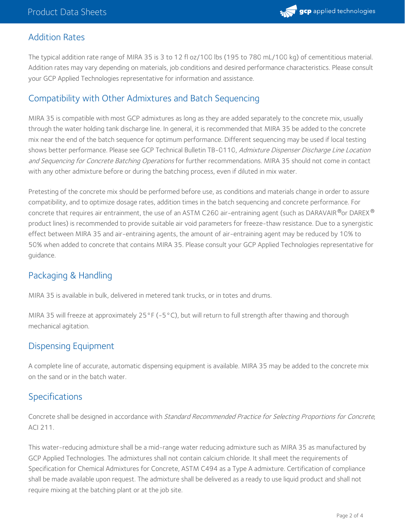

#### Addition Rates

The typical addition rate range of MIRA 35 is 3 to 12 fl oz/100 lbs (195 to 780 mL/100 kg) of cementitious material. Addition rates may vary depending on materials, job conditions and desired performance characteristics. Please consult your GCP Applied Technologies representative for information and assistance.

#### Compatibility with Other Admixtures and Batch Sequencing

MIRA 35 is compatible with most GCP admixtures as long as they are added separately to the concrete mix, usually through the water holding tank discharge line. In general, it is recommended that MIRA 35 be added to the concrete mix near the end of the batch sequence for optimum performance. Different sequencing may be used if local testing shows better performance. Please see GCP Technical Bulletin TB-0110, Admixture Dispenser Discharge Line Location and Sequencing for Concrete Batching Operations for further recommendations. MIRA 35 should not come in contact with any other admixture before or during the batching process, even if diluted in mix water.

Pretesting of the concrete mix should be performed before use, as conditions and materials change in order to assure compatibility, and to optimize dosage rates, addition times in the batch sequencing and concrete performance. For concrete that requires air entrainment, the use of an ASTM C260 air-entraining agent (such as DARAVAIR®or DAREX® product lines) is recommended to provide suitable air void parameters for freeze-thaw resistance. Due to a synergistic effect between MIRA 35 and air-entraining agents, the amount of air-entraining agent may be reduced by 10% to 50% when added to concrete that contains MIRA 35. Please consult your GCP Applied Technologies representative for guidance.

#### Packaging & Handling

MIRA 35 is available in bulk, delivered in metered tank trucks, or in totes and drums.

MIRA 35 will freeze at approximately 25°F (-5°C), but will return to full strength after thawing and thorough mechanical agitation.

#### Dispensing Equipment

A complete line of accurate, automatic dispensing equipment is available. MIRA 35 may be added to the concrete mix on the sand or in the batch water.

#### **Specifications**

Concrete shall be designed in accordance with Standard Recommended Practice for Selecting Proportions for Concrete, ACI 211.

This water-reducing admixture shall be a mid-range water reducing admixture such as MIRA 35 as manufactured by GCP Applied Technologies. The admixtures shall not contain calcium chloride. It shall meet the requirements of Specification for Chemical Admixtures for Concrete, ASTM C494 as a Type A admixture. Certification of compliance shall be made available upon request. The admixture shall be delivered as a ready to use liquid product and shall not require mixing at the batching plant or at the job site.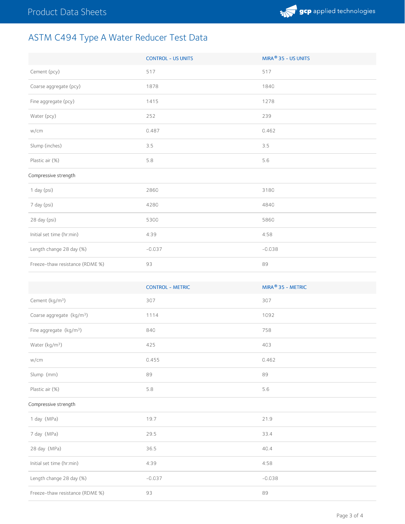# ASTM C494 Type A Water Reducer Test Data

|                                 | <b>CONTROL - US UNITS</b> | MIRA® 35 - US UNITS |
|---------------------------------|---------------------------|---------------------|
| Cement (pcy)                    | 517                       | 517                 |
| Coarse aggregate (pcy)          | 1878                      | 1840                |
| Fine aggregate (pcy)            | 1415                      | 1278                |
| Water (pcy)                     | 252                       | 239                 |
| w/cm                            | 0.487                     | 0.462               |
| Slump (inches)                  | 3.5                       | 3.5                 |
| Plastic air (%)                 | 5.8                       | 5.6                 |
| Compressive strength            |                           |                     |
| 1 day (psi)                     | 2860                      | 3180                |
| 7 day (psi)                     | 4280                      | 4840                |
| 28 day (psi)                    | 5300                      | 5860                |
| Initial set time (hr:min)       | 4:39                      | 4:58                |
| Length change 28 day (%)        | $-0.037$                  | $-0.038$            |
| Freeze-thaw resistance (RDME %) | 93                        | 89                  |
|                                 |                           |                     |
|                                 | <b>CONTROL - METRIC</b>   | MIRA® 35 - METRIC   |
| Cement (kg/m <sup>3</sup> )     | 307                       | 307                 |
| $\sim$ $\sim$                   |                           |                     |

| Comone (ng/m)                         | --       | $\sim$ $\sim$ $\prime$ |
|---------------------------------------|----------|------------------------|
| Coarse aggregate (kg/m <sup>3</sup> ) | 1114     | 1092                   |
| Fine aggregate $(kg/m3)$              | 840      | 758                    |
| Water (kg/m <sup>3</sup> )            | 425      | 403                    |
| w/cm                                  | 0.455    | 0.462                  |
| Slump (mm)                            | 89       | 89                     |
| Plastic air (%)                       | 5.8      | 5.6                    |
| Compressive strength                  |          |                        |
| 1 day (MPa)                           | 19.7     | 21.9                   |
| 7 day (MPa)                           | 29.5     | 33.4                   |
| 28 day (MPa)                          | 36.5     | 40.4                   |
| Initial set time (hr:min)             | 4:39     | 4:58                   |
| Length change 28 day (%)              | $-0.037$ | $-0.038$               |
| Freeze-thaw resistance (RDME %)       | 93       | 89                     |